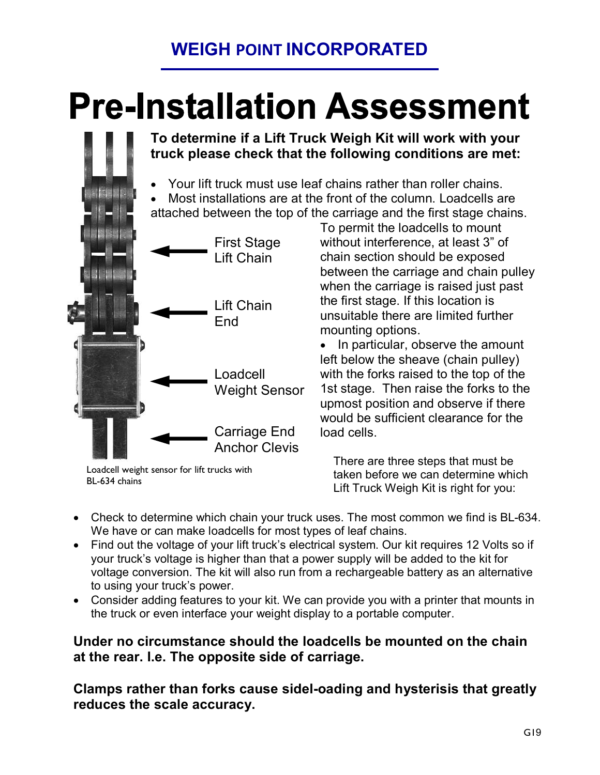### **WEIGH POINT INCORPORATED**

# **Pre-Installation Assessment**

**To determine if a Lift Truck Weigh Kit will work with your truck please check that the following conditions are met:**

- · Your lift truck must use leaf chains rather than roller chains. · Most installations are at the front of the column. Loadcells are
- attached between the top of the carriage and the first stage chains.



Loadcell weight sensor for lift trucks with BL-634 chains

To permit the loadcells to mount without interference, at least 3" of chain section should be exposed between the carriage and chain pulley when the carriage is raised just past the first stage. If this location is unsuitable there are limited further mounting options.

• In particular, observe the amount left below the sheave (chain pulley) with the forks raised to the top of the 1st stage. Then raise the forks to the upmost position and observe if there would be sufficient clearance for the load cells.

There are three steps that must be taken before we can determine which Lift Truck Weigh Kit is right for you:

- Check to determine which chain your truck uses. The most common we find is BL-634. We have or can make loadcells for most types of leaf chains.
- Find out the voltage of your lift truck's electrical system. Our kit requires 12 Volts so if your truck's voltage is higher than that a power supply will be added to the kit for voltage conversion. The kit will also run from a rechargeable battery as an alternative to using your truck's power.
- · Consider adding features to your kit. We can provide you with a printer that mounts in the truck or even interface your weight display to a portable computer.

#### **Under no circumstance should the loadcells be mounted on the chain at the rear. I.e. The opposite side of carriage.**

**Clamps rather than forks cause sidel-oading and hysterisis that greatly reduces the scale accuracy.**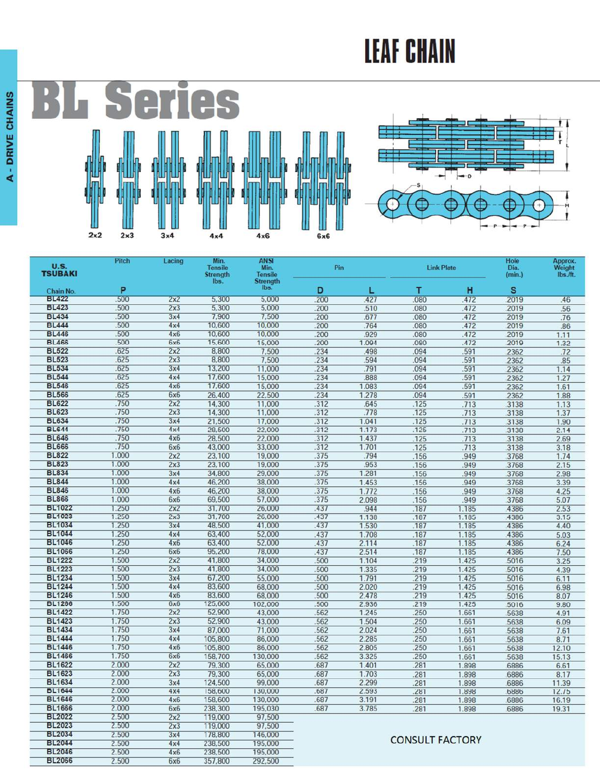## **LEAF CHAIN**

Ţ

Ì



| U.S.                           | Pitch          | Lacing     | Min.<br><b>Tensile</b>  | <b>ANSI</b><br>Min.               | Pin         |                | <b>Link Plate</b>      |            | Hole<br>Dia. | Approx.<br>Weight |
|--------------------------------|----------------|------------|-------------------------|-----------------------------------|-------------|----------------|------------------------|------------|--------------|-------------------|
| <b>TSUBAKI</b>                 |                |            | <b>Strength</b><br>lbs. | <b>Tensile</b><br><b>Strength</b> |             |                |                        |            | (min.)       | lbs./ft.          |
| Chain No.                      | P              |            |                         | lbs.                              | D           | L              | т                      | н          | s            |                   |
| <b>BL422</b>                   | 500            | 2x2        | 5,300                   | 5,000                             | 200         | 427            | .080                   | 472        | 2019         | .46               |
| <b>BL423</b>                   | 500            | 2x3        | 5,300                   | 5,000                             | 200         | 510            | .080                   | 472        | 2019         | 56                |
| <b>BL434</b>                   | .500           | 3x4        | 7.900                   | 7,500                             | .200        | .677           | .080                   | .472       | 2019         | 76                |
| <b>BL444</b>                   | 500            | 4x4        | 10,600                  | 10,000                            | 200         | 764            | .080                   | .472       | 2019         | .86               |
| <b>BL446</b>                   | 500            | 4x6        | 10,600                  | 10,000                            | .200        | .929           | .080                   | 472        | 2019         | 1.11              |
| <b>BL466</b>                   | 500            | 6x6        | 15,600                  | 15,000                            | 200         | 1.094          | .080                   | .472       | 2019         | 1.32              |
| <b>BL522</b>                   | 625            | 2x2        | 8,800                   | 7,500                             | 234         | .498           | .094                   | 591        | 2362         | .72               |
| <b>BL523</b>                   | 625            | 2x3        | 8,800                   | 7,500                             | .234        | .594           | .094                   | 591        | 2362         | .85               |
| <b>BL534</b>                   | .625           | 3x4        | 13,200                  | 11,000                            | .234        | .791           | .094                   | .591       | 2362         | 1.14              |
| <b>BL544</b>                   | 625            | 4x4        | 17,600                  | 15,000                            | .234        | .888           | .094                   | 591        | 2362         | 1.27              |
| <b>BL546</b>                   | .625           | 4x6        | 17,600                  | 15,000                            | .234        | 1.083          | .094                   | .591       | 2362         | 1.61              |
| <b>BL566</b>                   | .625           | 6x6        | 26,400                  | 22,500                            | .234        | 1.278          | .094                   | 591        | 2362         | 1.88              |
| <b>BL622</b>                   | .750           | 2x2        | 14,300                  | 11,000                            | 312         | .645           | .125                   | .713       | 3138         | 1.13              |
| <b>BL623</b>                   | .750           | 2x3        | 14,300                  | 11,000                            | .312        | .778           | .125                   | .713       | 3138         | 1.37              |
| <b>BL634</b>                   | .750           | 3x4        | 21,500                  | 17,000                            | 312         | 1.041          | .125                   | .713       | 3138         | 1.90              |
| <b>BL644</b>                   | .750           | 4x4        | 28,500                  | 22,000                            | .312        | 1.173          | .125                   | .713       | 3138         | 2.14              |
| <b>BL646</b><br><b>BL666</b>   | .750           | 4x6        | 28,500                  | 22,000                            | .312        | 1.437          | .125                   | .713       | .3138        | 2.69              |
| <b>BL822</b>                   | .750<br>1.000  | <b>6x6</b> | 43,000                  | 33,000                            | .312        | 1.701          | .125                   | .713       | 3138         | 3.18              |
| <b>BL823</b>                   | 1.000          | 2x2<br>2x3 | 23,100<br>23,100        | 19,000<br>19,000                  | .375<br>375 | .794<br>.953   | .156                   | 949        | 3768         | 1.74              |
| <b>BL834</b>                   | 1.000          | 3x4        | 34,800                  | 29,000                            | .375        | 1.281          | .156                   | 949<br>949 | 3768         | 2.15              |
| <b>BL844</b>                   | 1.000          | 4x4        | 46,200                  | 38,000                            | .375        | 1.453          | .156<br>.156           | 949        | 3768<br>3768 | 2.98<br>3.39      |
| <b>BL846</b>                   | 1.000          | 4x6        | 46,200                  | 38,000                            | 375         | 1.772          | .156                   | 949        | 3768         | 4.25              |
| <b>BL866</b>                   | 1.000          | 6x6        | 69,500                  | 57,000                            | .375        | 2.098          | .156                   | .949       | .3768        | 5.07              |
| <b>BL1022</b>                  | 1.250          | 2x2        | 31,700                  | 26,000                            | .437        | .944           | .187                   | 1.185      | 4386         | 2.53              |
| <b>BL1023</b>                  | 1.250          | 2x3        | 31,700                  | 26,000                            | .437        | 1.138          | .187                   | 1.185      | 4386         | 3.15              |
| <b>BL1034</b>                  | 1.250          | 3x4        | 48,500                  | 41,000                            | .437        | 1.530          | .187                   | 1.185      | .4386        | 4.40              |
| <b>BL1044</b>                  | 1.250          | 4x4        | 63,400                  | 52,000                            | .437        | 1.708          | .187                   | 1.185      | .4386        | 5.03              |
| <b>BL1046</b>                  | 1.250          | 4x6        | 63,400                  | 52,000                            | 437         | 2.114          | 187                    | 1.185      | 4386         | 6.24              |
| <b>BL1066</b>                  | 1.250          | 6x6        | 95,200                  | 78,000                            | .437        | 2.514          | .187                   | 1.185      | 4386         | 7.50              |
| <b>BL1222</b>                  | 1.500          | 2x2        | 41,800                  | 34,000                            | 500         | 1.104          | 219                    | 1.425      | 5016         | 3.25              |
| <b>BL1223</b>                  | 1.500          | 2x3        | 41,800                  | 34,000                            | 500         | 1.335          | .219                   | 1.425      | 5016         | 4.39              |
| <b>BL1234</b>                  | 1.500          | 3x4        | 67,200                  | 55,000                            | .500        | 1.791          | 219                    | 1.425      | 5016         | 6.11              |
| <b>BL1244</b>                  | 1.500          | 4x4        | 83,600                  | 68,000                            | .500        | 2.020          | .219                   | 1.425      | 5016         | 6.98              |
| <b>BL1246</b>                  | 1.500          | 4x6        | 83,600                  | 68,000                            | 500         | 2.478          | .219                   | 1.425      | 5016         | 8.07              |
| <b>BL1266</b>                  | 1.500          | 6x6        | 125,600                 | 102,000                           | 500         | 2.936          | .219                   | 1.425      | 5016         | 9.80              |
| <b>BL1422</b>                  | 1.750          | 2x2        | 52,900                  | 43,000                            | 562         | 1.245          | .250                   | 1.661      | 5638         | 4.91              |
| <b>BL1423</b>                  | 1.750          | 2x3        | 52,900                  | 43,000                            | .562        | 1.504          | .250                   | 1.661      | 5638         | 6.09              |
| <b>BL1434</b>                  | 1.750          | 3x4        | 87,000                  | 71,000                            | 562         | 2.024          | .250                   | 1.661      | 5638         | 7.61              |
| <b>BL1444</b>                  | 1.750          | 4x4        | 105,800                 | 86,000                            | .562        | 2.285          | .250                   | 1.661      | 5638         | 8.71              |
| <b>BL1446</b>                  | 1.750          | 4x6        | 105,800                 | 86,000                            | .562        | 2.805          | .250                   | 1.661      | 5638         | 12.10             |
| <b>BL1466</b>                  | 1.750          | 6x6        | 158,700                 | 130,000                           | 562         | 3.325          | .250                   | 1.661      | 5638         | 15.13             |
| <b>BL1622</b>                  | 2.000          | 2x2        | 79,300                  | 65,000                            | 687         | 1.401          | 281                    | 1.898      | 6886         | 6.61              |
| <b>BL1623</b>                  | 2.000          | 2x3        | 79,300                  | 65,000                            | .687        | 1.703          | .281                   | 1.898      | 6886         | 8.17              |
| <b>BL1634</b><br><b>BL1644</b> | 2.000          | 3x4        | 124,500                 | 99.000                            | 687         | 2.299          | .281                   | 1.898      | 6886         | 11.39             |
| <b>BL1646</b>                  | 2.000<br>2.000 | 4x4<br>4x6 | 158,600                 | 130,000                           | 687<br>687  | 2.593<br>3.191 | 281                    | 1.898      | 6886         | 12.75             |
| <b>BL1666</b>                  | 2.000          | <b>6x6</b> | 158,600<br>238,300      | 130,000<br>195,030                | .687        | 3.785          | .281                   | 1.898      | 6886         | 16.19             |
| <b>BL2022</b>                  | 2.500          | 2x2        | 119,000                 | 97,500                            |             |                | 281                    | 1.898      | 6886         | 19.31             |
| <b>BL2023</b>                  | 2.500          | 2x3        | 119,000                 | 97,500                            |             |                |                        |            |              |                   |
| <b>BL2034</b>                  | 2.500          | 3x4        | 178,800                 | 146,000                           |             |                |                        |            |              |                   |
| <b>BL2044</b>                  | 2.500          | 4x4        | 238,500                 | 195,000                           |             |                | <b>CONSULT FACTORY</b> |            |              |                   |
| <b>BL2046</b>                  | 2.500          | 4x6        | 238,500                 | 195,000                           |             |                |                        |            |              |                   |
| <b>BL2066</b>                  | 2.500          | 6x6        | 357,800                 | 292,500                           |             |                |                        |            |              |                   |
|                                |                |            |                         |                                   |             |                |                        |            |              |                   |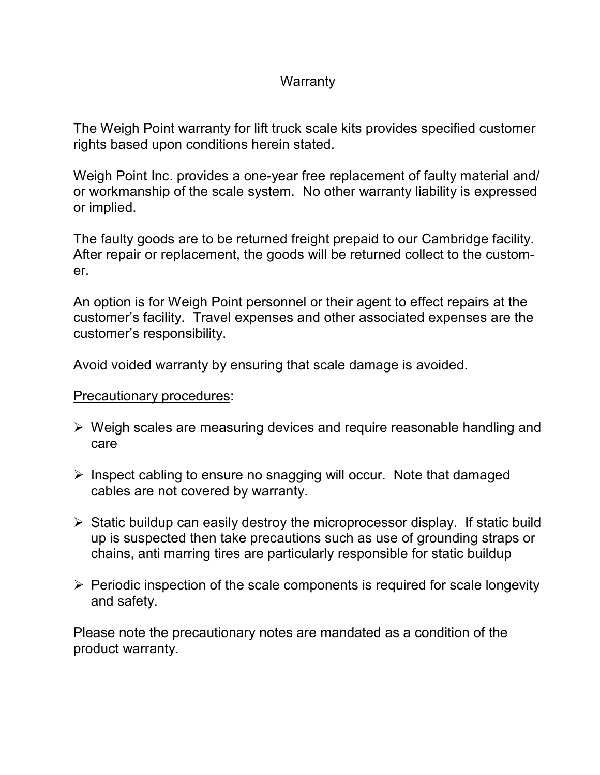#### **Warranty**

The Weigh Point warranty for lift truck scale kits provides specified customer rights based upon conditions herein stated.

Weigh Point Inc. provides a one-year free replacement of faulty material and/ or workmanship of the scale system. No other warranty liability is expressed or implied.

The faulty goods are to be returned freight prepaid to our Cambridge facility. After repair or replacement, the goods will be returned collect to the customer.

An option is for Weigh Point personnel or their agent to effect repairs at the customer's facility. Travel expenses and other associated expenses are the customer's responsibility.

Avoid voided warranty by ensuring that scale damage is avoided.

#### Precautionary procedures:

- $\triangleright$  Weigh scales are measuring devices and require reasonable handling and care
- $\triangleright$  Inspect cabling to ensure no snagging will occur. Note that damaged cables are not covered by warranty.
- $\triangleright$  Static buildup can easily destroy the microprocessor display. If static build up is suspected then take precautions such as use of grounding straps or chains, anti marring tires are particularly responsible for static buildup
- $\triangleright$  Periodic inspection of the scale components is required for scale longevity and safety.

Please note the precautionary notes are mandated as a condition of the product warranty.